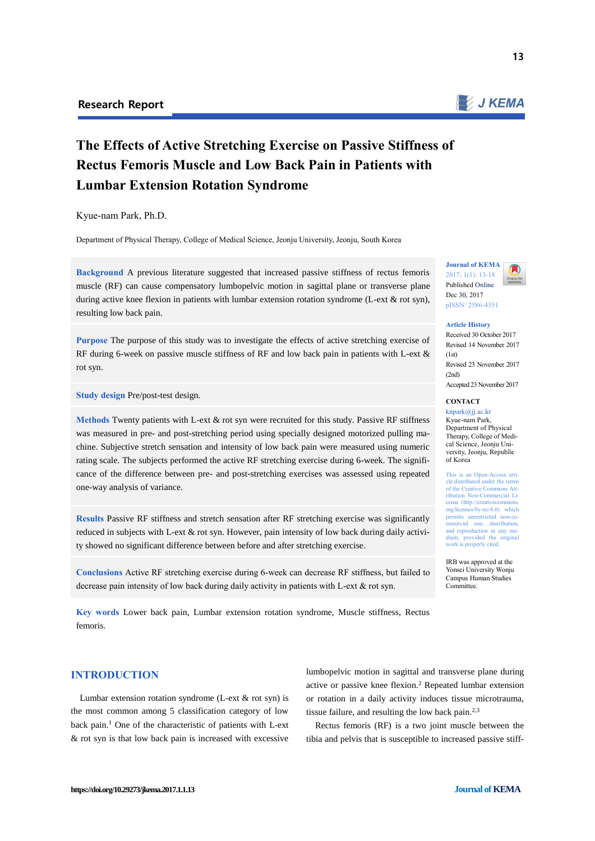

# **The Effects of Active Stretching Exercise on Passive Stiffness of Rectus Femoris Muscle and Low Back Pain in Patients with Lumbar Extension Rotation Syndrome**

Kyue-nam Park, Ph.D.

Department of Physical Therapy, College of Medical Science, Jeonju University, Jeonju, South Korea

**Background** A previous literature suggested that increased passive stiffness of rectus femoris muscle (RF) can cause compensatory lumbopelvic motion in sagittal plane or transverse plane during active knee flexion in patients with lumbar extension rotation syndrome (L-ext & rot syn), resulting low back pain.

**Purpose** The purpose of this study was to investigate the effects of active stretching exercise of RF during 6-week on passive muscle stiffness of RF and low back pain in patients with L-ext & rot syn.

**Study design** Pre/post-test design.

**Methods** Twenty patients with L-ext & rot syn were recruited for this study. Passive RF stiffness was measured in pre- and post-stretching period using specially designed motorized pulling machine. Subjective stretch sensation and intensity of low back pain were measured using numeric rating scale. The subjects performed the active RF stretching exercise during 6-week. The significance of the difference between pre- and post-stretching exercises was assessed using repeated one-way analysis of variance.

**Results** Passive RF stiffness and stretch sensation after RF stretching exercise was significantly reduced in subjects with L-ext & rot syn. However, pain intensity of low back during daily activity showed no significant difference between before and after stretching exercise.

**Conclusions** Active RF stretching exercise during 6-week can decrease RF stiffness, but failed to decrease pain intensity of low back during daily activity in patients with L-ext & rot syn.

**Key words** Lower back pain, Lumbar extension rotation syndrome, Muscle stiffness, Rectus femoris.

# **INTRODUCTION**

Lumbar extension rotation syndrome (L-ext & rot syn) is the most common among 5 classification category of low back pain.<sup>1</sup> One of the characteristic of patients with L-ext & rot syn is that low back pain is increased with excessive

lumbopelvic motion in sagittal and transverse plane during active or passive knee flexion.[2](#page-4-0) Repeated lumbar extension or rotation in a daily activity induces tissue microtrauma, tissue failure, and resulting the low back pain. $2,3$  $2,3$ 

Rectus femoris (RF) is a two joint muscle between the tibia and pelvis that is susceptible to increased passive stiff-



#### **Article History**

Received 30 October 2017 Revised 14 November 2017  $(1st)$ Revised 23 November 2017 (2nd) Accepted 23 November 2017

#### **CONTACT**  knpark@jj.ac.kr

Kyue-nam Park, Department of Physical Therapy, College of Medical Science, Jeonju University, Jeonju, Republic of Korea

This is an Open-Access article distributed under the term of the Creative Commons Attribution Non-Commercial License (http://creativecomm org/licenses/by-nc/4.0) which permits unrestricted non-con<br>mmercial use, distribution and reproduction in any medium, provided the original work is properly cited.

IRB was approved at the Yonsei University Wonju Campus Human Studies Committee.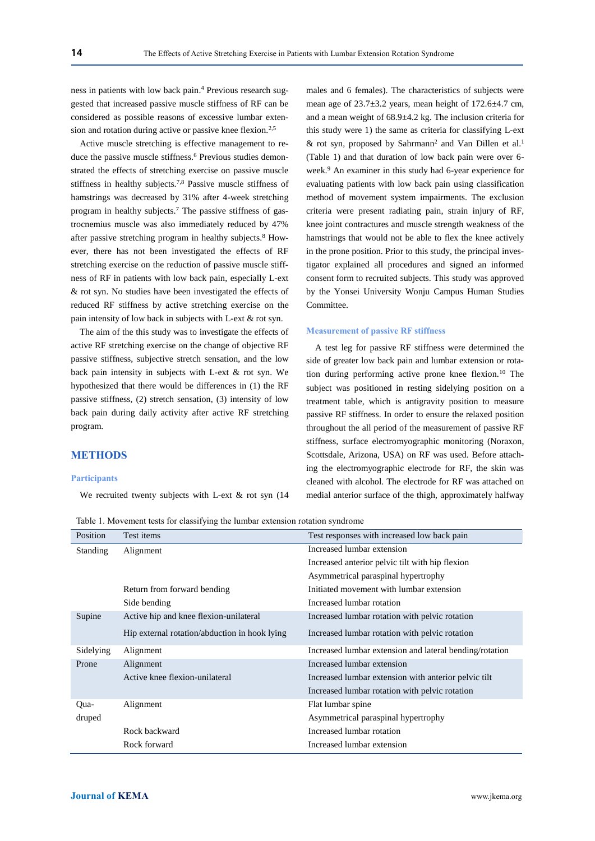ness in patients with low back pain[.](#page-4-2) <sup>4</sup> Previous research suggested that increased passive muscle stiffness of RF can be considered as possible reasons of excessive lumbar exten-sion and rotation during active or passive knee flexion.<sup>[2,](#page-4-0)[5](#page-4-3)</sup>

Active muscle stretching is effective management to re-duce the passive muscle stiffness.<sup>[6](#page-4-4)</sup> Previous studies demonstrated the effects of stretching exercise on passive muscle stiffness in healthy subjects.<sup>[7,](#page-4-5)[8](#page-4-6)</sup> Passive muscle stiffness of hamstrings was decreased by 31% after 4-week stretching program in healthy subjects[.](#page-4-5)<sup>7</sup> The passive stiffness of gastrocnemius muscle was also immediately reduced by 47% after passive stretching program in healthy subject[s.](#page-4-6) $8$  However, there has not been investigated the effects of RF stretching exercise on the reduction of passive muscle stiffness of RF in patients with low back pain, especially L-ext & rot syn. No studies have been investigated the effects of reduced RF stiffness by active stretching exercise on the pain intensity of low back in subjects with L-ext & rot syn.

The aim of the this study was to investigate the effects of active RF stretching exercise on the change of objective RF passive stiffness, subjective stretch sensation, and the low back pain intensity in subjects with L-ext & rot syn. We hypothesized that there would be differences in (1) the RF passive stiffness, (2) stretch sensation, (3) intensity of low back pain during daily activity after active RF stretching program.

## **METHODS**

#### **Participants**

We recruited twenty subjects with L-ext & rot syn (14

males and 6 females). The characteristics of subjects were mean age of  $23.7\pm3.2$  years, mean height of  $172.6\pm4.7$  cm, and a mean weight of 68.9±4.2 kg. The inclusion criteria for this study were 1) the same as criteria for classifying L-ext & rot sy[n](#page-4-0), proposed by Sahrmann<sup>2</sup> and Van Dillen et al.<sup>1</sup> (Table 1) and that duration of low back pain were over 6 wee[k.](#page-4-7) <sup>9</sup> An examiner in this study had 6-year experience for evaluating patients with low back pain using classification method of movement system impairments. The exclusion criteria were present radiating pain, strain injury of RF, knee joint contractures and muscle strength weakness of the hamstrings that would not be able to flex the knee actively in the prone position. Prior to this study, the principal investigator explained all procedures and signed an informed consent form to recruited subjects. This study was approved by the Yonsei University Wonju Campus Human Studies Committee.

#### **Measurement of passive RF stiffness**

A test leg for passive RF stiffness were determined the side of greater low back pain and lumbar extension or rotation during performing active prone knee flexion.<sup>10</sup> The subject was positioned in resting sidelying position on a treatment table, which is antigravity position to measure passive RF stiffness. In order to ensure the relaxed position throughout the all period of the measurement of passive RF stiffness, surface electromyographic monitoring (Noraxon, Scottsdale, Arizona, USA) on RF was used. Before attaching the electromyographic electrode for RF, the skin was cleaned with alcohol. The electrode for RF was attached on medial anterior surface of the thigh, approximately halfway

Table 1. Movement tests for classifying the lumbar extension rotation syndrome

| Table 1. MOVEMENt lests for classifying the funnoal extension fotation syndrome |                                               |                                                         |
|---------------------------------------------------------------------------------|-----------------------------------------------|---------------------------------------------------------|
| Position                                                                        | Test items                                    | Test responses with increased low back pain             |
| <b>Standing</b>                                                                 | Alignment                                     | Increased lumbar extension                              |
|                                                                                 |                                               | Increased anterior pelvic tilt with hip flexion         |
|                                                                                 |                                               | Asymmetrical paraspinal hypertrophy                     |
|                                                                                 | Return from forward bending                   | Initiated movement with lumbar extension                |
|                                                                                 | Side bending                                  | Increased lumbar rotation                               |
| Supine                                                                          | Active hip and knee flexion-unilateral        | Increased lumbar rotation with pelvic rotation          |
|                                                                                 | Hip external rotation/abduction in hook lying | Increased lumbar rotation with pelvic rotation          |
| Sidelying                                                                       | Alignment                                     | Increased lumbar extension and lateral bending/rotation |
| Prone                                                                           | Alignment                                     | Increased lumbar extension                              |
|                                                                                 | Active knee flexion-unilateral                | Increased lumbar extension with anterior pelvic tilt    |
|                                                                                 |                                               | Increased lumbar rotation with pelvic rotation          |
| Qua-                                                                            | Alignment                                     | Flat lumbar spine                                       |
| druped                                                                          |                                               | Asymmetrical paraspinal hypertrophy                     |
|                                                                                 | Rock backward                                 | Increased lumbar rotation                               |
|                                                                                 | Rock forward                                  | Increased lumbar extension                              |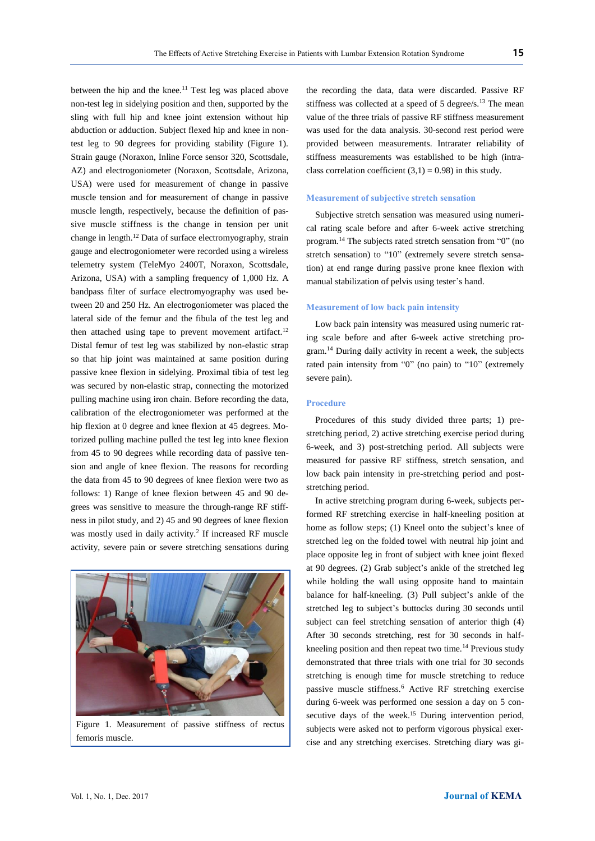between the hip and the knee.<sup>11</sup> Test leg was placed above non-test leg in sidelying position and then, supported by the sling with full hip and knee joint extension without hip abduction or adduction. Subject flexed hip and knee in nontest leg to 90 degrees for providing stability (Figure 1). Strain gauge (Noraxon, Inline Force sensor 320, Scottsdale, AZ) and electrogoniometer (Noraxon, Scottsdale, Arizona, USA) were used for measurement of change in passive muscle tension and for measurement of change in passive muscle length, respectively, because the definition of passive muscle stiffness is the change in tension per unit change in length. [12](#page-5-0) Data of surface electromyography, strain gauge and electrogoniometer were recorded using a wireless telemetry system (TeleMyo 2400T, Noraxon, Scottsdale, Arizona, USA) with a sampling frequency of 1,000 Hz. A bandpass filter of surface electromyography was used between 20 and 250 Hz. An electrogoniometer was placed the lateral side of the femur and the fibula of the test leg and then attached using tape to prevent movement artifact.<sup>[12](#page-5-0)</sup> Distal femur of test leg was stabilized by non-elastic strap so that hip joint was maintained at same position during passive knee flexion in sidelying. Proximal tibia of test leg was secured by non-elastic strap, connecting the motorized pulling machine using iron chain. Before recording the data, calibration of the electrogoniometer was performed at the hip flexion at 0 degree and knee flexion at 45 degrees. Motorized pulling machine pulled the test leg into knee flexion from 45 to 90 degrees while recording data of passive tension and angle of knee flexion. The reasons for recording the data from 45 to 90 degrees of knee flexion were two as follows: 1) Range of knee flexion between 45 and 90 degrees was sensitive to measure the through-range RF stiffness in pilot study, and 2) 45 and 90 degrees of knee flexion was mostly used in daily activit[y.](#page-4-0)<sup>2</sup> If increased RF muscle activity, severe pain or severe stretching sensations during



Figure 1. Measurement of passive stiffness of rectus femoris muscle.

the recording the data, data were discarded. Passive RF stiffness was collected at a speed of 5 degree/s.<sup>[13](#page-5-1)</sup> The mean value of the three trials of passive RF stiffness measurement was used for the data analysis. 30-second rest period were provided between measurements. Intrarater reliability of stiffness measurements was established to be high (intraclass correlation coefficient  $(3,1) = 0.98$ ) in this study.

#### **Measurement of subjective stretch sensation**

Subjective stretch sensation was measured using numerical rating scale before and after 6-week active stretching program.[14](#page-5-2) The subjects rated stretch sensation from "0" (no stretch sensation) to "10" (extremely severe stretch sensation) at end range during passive prone knee flexion with manual stabilization of pelvis using tester's hand.

#### **Measurement of low back pain intensity**

Low back pain intensity was measured using numeric rating scale before and after 6-week active stretching program.[14](#page-5-2) During daily activity in recent a week, the subjects rated pain intensity from "0" (no pain) to "10" (extremely severe pain).

## **Procedure**

Procedures of this study divided three parts; 1) prestretching period, 2) active stretching exercise period during 6-week, and 3) post-stretching period. All subjects were measured for passive RF stiffness, stretch sensation, and low back pain intensity in pre-stretching period and poststretching period.

In active stretching program during 6-week, subjects performed RF stretching exercise in half-kneeling position at home as follow steps; (1) Kneel onto the subject's knee of stretched leg on the folded towel with neutral hip joint and place opposite leg in front of subject with knee joint flexed at 90 degrees. (2) Grab subject's ankle of the stretched leg while holding the wall using opposite hand to maintain balance for half-kneeling. (3) Pull subject's ankle of the stretched leg to subject's buttocks during 30 seconds until subject can feel stretching sensation of anterior thigh (4) After 30 seconds stretching, rest for 30 seconds in half-kneeling position and then repeat two time.<sup>[14](#page-5-2)</sup> Previous study demonstrated that three trials with one trial for 30 seconds stretching is enough time for muscle stretching to reduce passive muscle stiffnes[s.](#page-4-4)<sup>6</sup> Active RF stretching exercise during 6-week was performed one session a day on 5 con-secutive days of the week.<sup>[15](#page-5-3)</sup> During intervention period, subjects were asked not to perform vigorous physical exercise and any stretching exercises. Stretching diary was gi-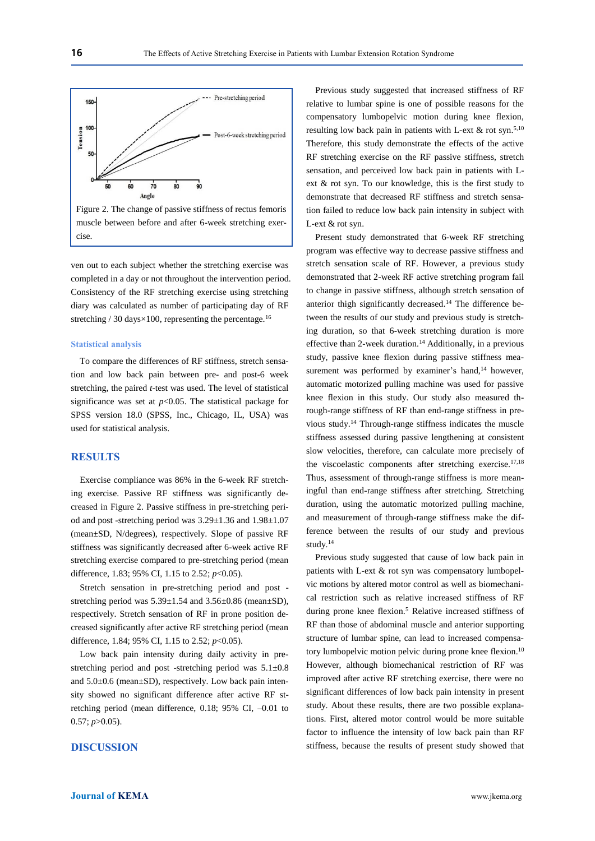

Figure 2. The change of passive stiffness of rectus femoris muscle between before and after 6-week stretching exercise.

ven out to each subject whether the stretching exercise was completed in a day or not throughout the intervention period. Consistency of the RF stretching exercise using stretching diary was calculated as number of participating day of RF stretching  $/ 30$  days $\times 100$ , representing the percentage.<sup>[16](#page-5-4)</sup>

#### **Statistical analysis**

To compare the differences of RF stiffness, stretch sensation and low back pain between pre- and post-6 week stretching, the paired *t*-test was used. The level of statistical significance was set at  $p<0.05$ . The statistical package for SPSS version 18.0 (SPSS, Inc., Chicago, IL, USA) was used for statistical analysis.

## **RESULTS**

Exercise compliance was 86% in the 6-week RF stretching exercise. Passive RF stiffness was significantly decreased in Figure 2. Passive stiffness in pre-stretching period and post -stretching period was 3.29±1.36 and 1.98±1.07 (mean±SD, N/degrees), respectively. Slope of passive RF stiffness was significantly decreased after 6-week active RF stretching exercise compared to pre-stretching period (mean difference, 1.83; 95% CI, 1.15 to 2.52; *p*<0.05).

Stretch sensation in pre-stretching period and post stretching period was  $5.39 \pm 1.54$  and  $3.56 \pm 0.86$  (mean $\pm$ SD), respectively. Stretch sensation of RF in prone position decreased significantly after active RF stretching period (mean difference, 1.84; 95% CI, 1.15 to 2.52; *p*<0.05).

Low back pain intensity during daily activity in prestretching period and post -stretching period was 5.1±0.8 and 5.0±0.6 (mean±SD), respectively. Low back pain intensity showed no significant difference after active RF stretching period (mean difference, 0.18; 95% CI, –0.01 to 0.57; *p*>0.05).

# **DISCUSSION**

Previous study suggested that increased stiffness of RF relative to lumbar spine is one of possible reasons for the compensatory lumbopelvic motion during knee flexion, resulting low back pain in patients with L-ext  $\&$  rot syn.<sup>[5,1](#page-4-3)0</sup> Therefore, this study demonstrate the effects of the active RF stretching exercise on the RF passive stiffness, stretch sensation, and perceived low back pain in patients with Lext & rot syn. To our knowledge, this is the first study to demonstrate that decreased RF stiffness and stretch sensation failed to reduce low back pain intensity in subject with L-ext & rot syn.

Present study demonstrated that 6-week RF stretching program was effective way to decrease passive stiffness and stretch sensation scale of RF. However, a previous study demonstrated that 2-week RF active stretching program fail to change in passive stiffness, although stretch sensation of anterior thigh significantly decreased.[14](#page-5-2) The difference between the results of our study and previous study is stretching duration, so that 6-week stretching duration is more effective than 2-week duration.[14](#page-5-2) Additionally, in a previous study, passive knee flexion during passive stiffness mea-surement was performed by examiner's hand,<sup>[14](#page-5-2)</sup> however, automatic motorized pulling machine was used for passive knee flexion in this study. Our study also measured through-range stiffness of RF than end-range stiffness in previous study.[14](#page-5-2) Through-range stiffness indicates the muscle stiffness assessed during passive lengthening at consistent slow velocities, therefore, can calculate more precisely of the viscoelastic components after stretching exercise.<sup>[17,](#page-5-5)[18](#page-5-6)</sup> Thus, assessment of through-range stiffness is more meaningful than end-range stiffness after stretching. Stretching duration, using the automatic motorized pulling machine, and measurement of through-range stiffness make the difference between the results of our study and previous study.[14](#page-5-2)

Previous study suggested that cause of low back pain in patients with L-ext & rot syn was compensatory lumbopelvic motions by altered motor control as well as biomechanical restriction such as relative increased stiffness of RF during prone knee flexion.<sup>[5](#page-4-3)</sup> Relative increased stiffness of RF than those of abdominal muscle and anterior supporting structure of lumbar spine, can lead to increased compensatory lumbopelvic motion pelvic during prone knee flexion.<sup>10</sup> However, although biomechanical restriction of RF was improved after active RF stretching exercise, there were no significant differences of low back pain intensity in present study. About these results, there are two possible explanations. First, altered motor control would be more suitable factor to influence the intensity of low back pain than RF stiffness, because the results of present study showed that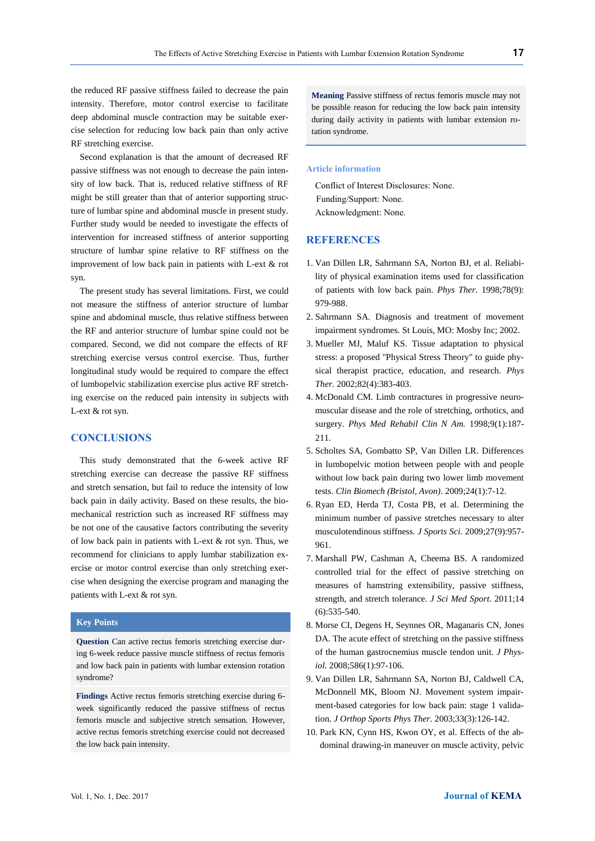the reduced RF passive stiffness failed to decrease the pain intensity. Therefore, motor control exercise to facilitate deep abdominal muscle contraction may be suitable exercise selection for reducing low back pain than only active RF stretching exercise.

Second explanation is that the amount of decreased RF passive stiffness was not enough to decrease the pain intensity of low back. That is, reduced relative stiffness of RF might be still greater than that of anterior supporting structure of lumbar spine and abdominal muscle in present study. Further study would be needed to investigate the effects of intervention for increased stiffness of anterior supporting structure of lumbar spine relative to RF stiffness on the improvement of low back pain in patients with L-ext & rot syn.

The present study has several limitations. First, we could not measure the stiffness of anterior structure of lumbar spine and abdominal muscle, thus relative stiffness between the RF and anterior structure of lumbar spine could not be compared. Second, we did not compare the effects of RF stretching exercise versus control exercise. Thus, further longitudinal study would be required to compare the effect of lumbopelvic stabilization exercise plus active RF stretching exercise on the reduced pain intensity in subjects with L-ext & rot syn.

## **CONCLUSIONS**

This study demonstrated that the 6-week active RF stretching exercise can decrease the passive RF stiffness and stretch sensation, but fail to reduce the intensity of low back pain in daily activity. Based on these results, the biomechanical restriction such as increased RF stiffness may be not one of the causative factors contributing the severity of low back pain in patients with L-ext & rot syn. Thus, we recommend for clinicians to apply lumbar stabilization exercise or motor control exercise than only stretching exercise when designing the exercise program and managing the patients with L-ext & rot syn.

## **Key Points**

**Question** Can active rectus femoris stretching exercise during 6-week reduce passive muscle stiffness of rectus femoris and low back pain in patients with lumbar extension rotation syndrome?

**Findings** Active rectus femoris stretching exercise during 6 week significantly reduced the passive stiffness of rectus femoris muscle and subjective stretch sensation. However, active rectus femoris stretching exercise could not decreased the low back pain intensity.

**Meaning** Passive stiffness of rectus femoris muscle may not be possible reason for reducing the low back pain intensity during daily activity in patients with lumbar extension rotation syndrome.

#### **Article information**

Conflict of Interest Disclosures: None. Funding/Support: None. Acknowledgment: None.

## **REFERENCES**

- 1. Van Dillen LR, Sahrmann SA, Norton BJ, et al. Reliability of physical examination items used for classification of patients with low back pain. *Phys Ther.* 1998;78(9): 979-988.
- <span id="page-4-0"></span>2. Sahrmann SA. Diagnosis and treatment of movement impairment syndromes. St Louis, MO: Mosby Inc; 2002.
- <span id="page-4-1"></span>3. Mueller MJ, Maluf KS. Tissue adaptation to physical stress: a proposed "Physical Stress Theory" to guide physical therapist practice, education, and research. *Phys Ther.* 2002;82(4):383-403.
- <span id="page-4-2"></span>4. McDonald CM. Limb contractures in progressive neuromuscular disease and the role of stretching, orthotics, and surgery. *Phys Med Rehabil Clin N Am.* 1998;9(1):187- 211.
- <span id="page-4-3"></span>5. Scholtes SA, Gombatto SP, Van Dillen LR. Differences in lumbopelvic motion between people with and people without low back pain during two lower limb movement tests. *Clin Biomech (Bristol, Avon)*. 2009;24(1):7-12.
- <span id="page-4-4"></span>6. Ryan ED, Herda TJ, Costa PB, et al. Determining the minimum number of passive stretches necessary to alter musculotendinous stiffness. *J Sports Sci.* 2009;27(9):957- 961.
- <span id="page-4-5"></span>7. Marshall PW, Cashman A, Cheema BS. A randomized controlled trial for the effect of passive stretching on measures of hamstring extensibility, passive stiffness, strength, and stretch tolerance. *J Sci Med Sport.* 2011;14 (6):535-540.
- <span id="page-4-6"></span>8. Morse CI, Degens H, Seynnes OR, Maganaris CN, Jones DA. The acute effect of stretching on the passive stiffness of the human gastrocnemius muscle tendon unit. *J Physiol.* 2008;586(1):97-106.
- <span id="page-4-7"></span>9. Van Dillen LR, Sahrmann SA, Norton BJ, Caldwell CA, McDonnell MK, Bloom NJ. Movement system impairment-based categories for low back pain: stage 1 validation. *J Orthop Sports Phys Ther.* 2003;33(3):126-142.
- 10. Park KN, Cynn HS, Kwon OY, et al. Effects of the abdominal drawing-in maneuver on muscle activity, pelvic